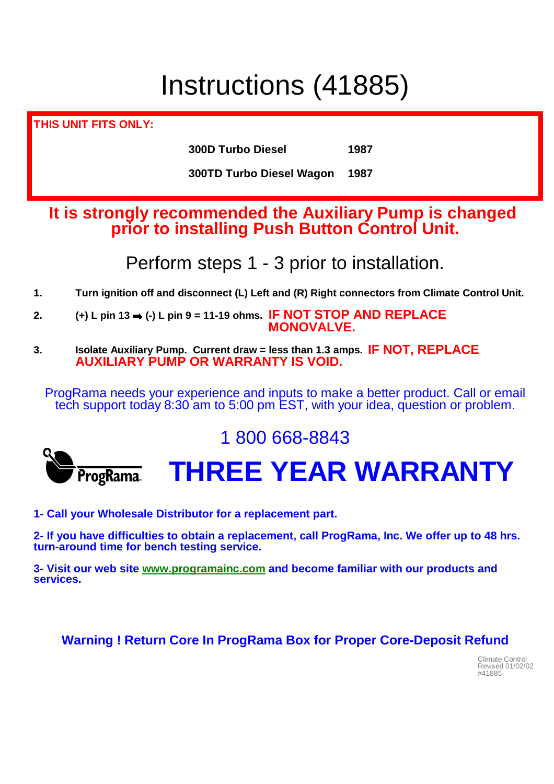# Instructions (41885)

**THIS UNIT FITS ONLY:**

**300D Turbo Diesel 1987**

**300TD Turbo Diesel Wagon 1987**

#### **It is strongly recommended the Auxiliary Pump is changed prior to installing Push Button Control Unit.**

Perform steps 1 - 3 prior to installation.

- **1. Turn ignition off and disconnect (L) Left and (R) Right connectors from Climate Control Unit.**
- **2. (+) L pin 13 (-) L pin 9 = 11-19 ohms. IF NOT STOP AND REPLACE MONOVALVE.**
- **3. Isolate Auxiliary Pump. Current draw = less than 1.3 amps. IF NOT, REPLACE AUXILIARY PUMP OR WARRANTY IS VOID.**

ProgRama needs your experience and inputs to make a better product. Call or email tech support today 8:30 am to 5:00 pm EST, with your idea, question or problem.



### 1 800 668-8843

## **THREE YEAR WARRANTY**

**1- Call your Wholesale Distributor for a replacement part.**

**2- If you have difficulties to obtain a replacement, call ProgRama, Inc. We offer up to 48 hrs. turn-around time for bench testing service.**

**3- Visit our web site www.programainc.com and become familiar with our products and services.** 

#### **Warning ! Return Core In ProgRama Box for Proper Core-Deposit Refund**

Climate Control Revised 01/02/02 #41885